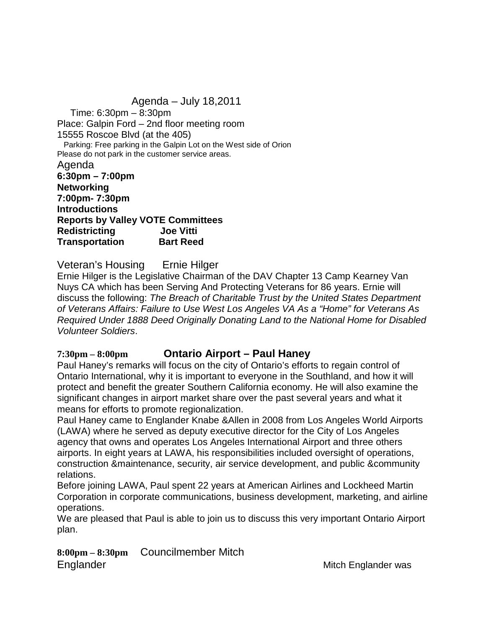Agenda – July 18,2011 Time: 6:30pm – 8:30pm Place: Galpin Ford – 2nd floor meeting room 15555 Roscoe Blvd (at the 405) Parking: Free parking in the Galpin Lot on the West side of Orion Please do not park in the customer service areas. Agenda **6:30pm – 7:00pm Networking 7:00pm- 7:30pm Introductions Reports by Valley VOTE Committees Redistricting Joe Vitti Transportation Bart Reed**

Veteran's Housing Ernie Hilger

Ernie Hilger is the Legislative Chairman of the DAV Chapter 13 Camp Kearney Van Nuys CA which has been Serving And Protecting Veterans for 86 years. Ernie will discuss the following: *The Breach of Charitable Trust by the United States Department of Veterans Affairs: Failure to Use West Los Angeles VA As a "Home" for Veterans As Required Under 1888 Deed Originally Donating Land to the National Home for Disabled Volunteer Soldiers*.

## **7:30pm – 8:00pm Ontario Airport – Paul Haney**

Paul Haney's remarks will focus on the city of Ontario's efforts to regain control of Ontario International, why it is important to everyone in the Southland, and how it will protect and benefit the greater Southern California economy. He will also examine the significant changes in airport market share over the past several years and what it means for efforts to promote regionalization.

Paul Haney came to Englander Knabe &Allen in 2008 from Los Angeles World Airports (LAWA) where he served as deputy executive director for the City of Los Angeles agency that owns and operates Los Angeles International Airport and three others airports. In eight years at LAWA, his responsibilities included oversight of operations, construction &maintenance, security, air service development, and public &community relations.

Before joining LAWA, Paul spent 22 years at American Airlines and Lockheed Martin Corporation in corporate communications, business development, marketing, and airline operations.

We are pleased that Paul is able to join us to discuss this very important Ontario Airport plan.

**8:00pm – 8:30pm** Councilmember Mitch Englander Mitch Englander was